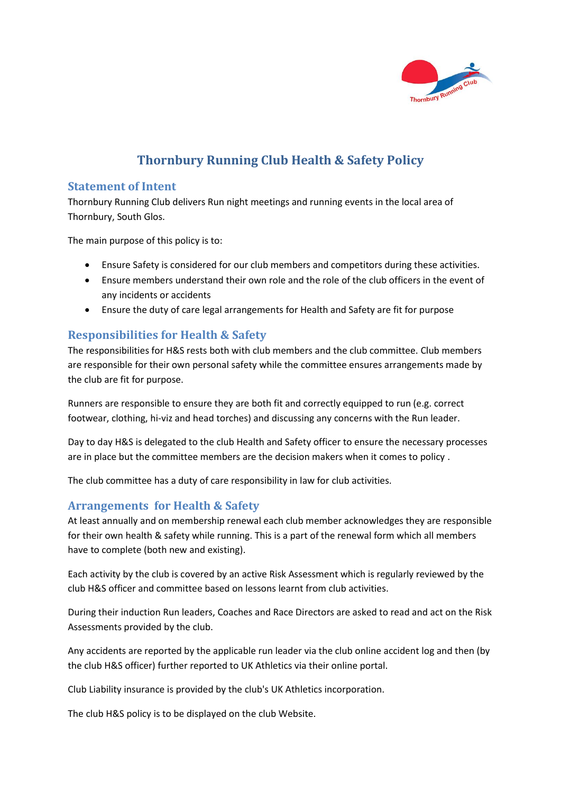

## **Thornbury Running Club Health & Safety Policy**

## **Statement of Intent**

Thornbury Running Club delivers Run night meetings and running events in the local area of Thornbury, South Glos.

The main purpose of this policy is to:

- Ensure Safety is considered for our club members and competitors during these activities.
- Ensure members understand their own role and the role of the club officers in the event of any incidents or accidents
- Ensure the duty of care legal arrangements for Health and Safety are fit for purpose

## **Responsibilities for Health & Safety**

The responsibilities for H&S rests both with club members and the club committee. Club members are responsible for their own personal safety while the committee ensures arrangements made by the club are fit for purpose.

Runners are responsible to ensure they are both fit and correctly equipped to run (e.g. correct footwear, clothing, hi-viz and head torches) and discussing any concerns with the Run leader.

Day to day H&S is delegated to the club Health and Safety officer to ensure the necessary processes are in place but the committee members are the decision makers when it comes to policy .

The club committee has a duty of care responsibility in law for club activities.

## **Arrangements for Health & Safety**

At least annually and on membership renewal each club member acknowledges they are responsible for their own health & safety while running. This is a part of the renewal form which all members have to complete (both new and existing).

Each activity by the club is covered by an active Risk Assessment which is regularly reviewed by the club H&S officer and committee based on lessons learnt from club activities.

During their induction Run leaders, Coaches and Race Directors are asked to read and act on the Risk Assessments provided by the club.

Any accidents are reported by the applicable run leader via the club online accident log and then (by the club H&S officer) further reported to UK Athletics via their online portal.

Club Liability insurance is provided by the club's UK Athletics incorporation.

The club H&S policy is to be displayed on the club Website.